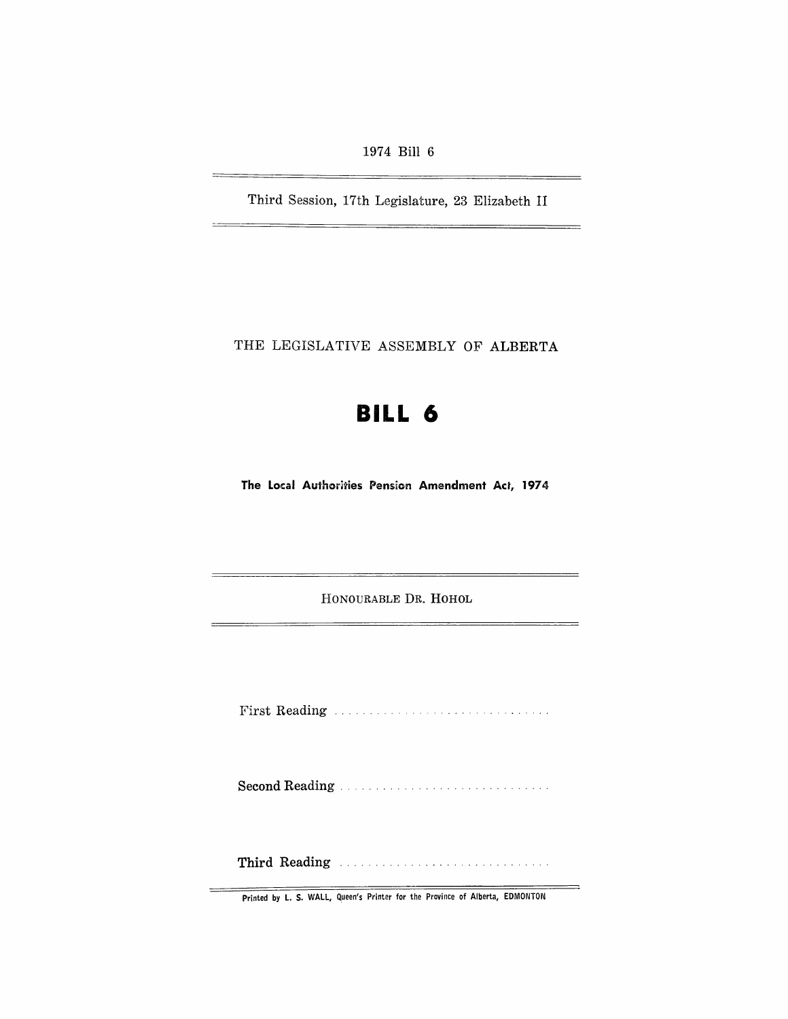1974 Bill 6

—<br>——

Third Session, 17th Legislature, 23 Elizabeth II

THE LEGISLATIVE ASSEMBLY OF ALBERTA

# **BILL 6**

The Local Authorities Pension Amendment Act, 1974

HONOURABLE DR. HOHOL

First Reading

**Second Reading** ............................. .

Third Reading ...

Printed by L. S. WALL, Queen's Printer for the Province of Alberta, EDMONTON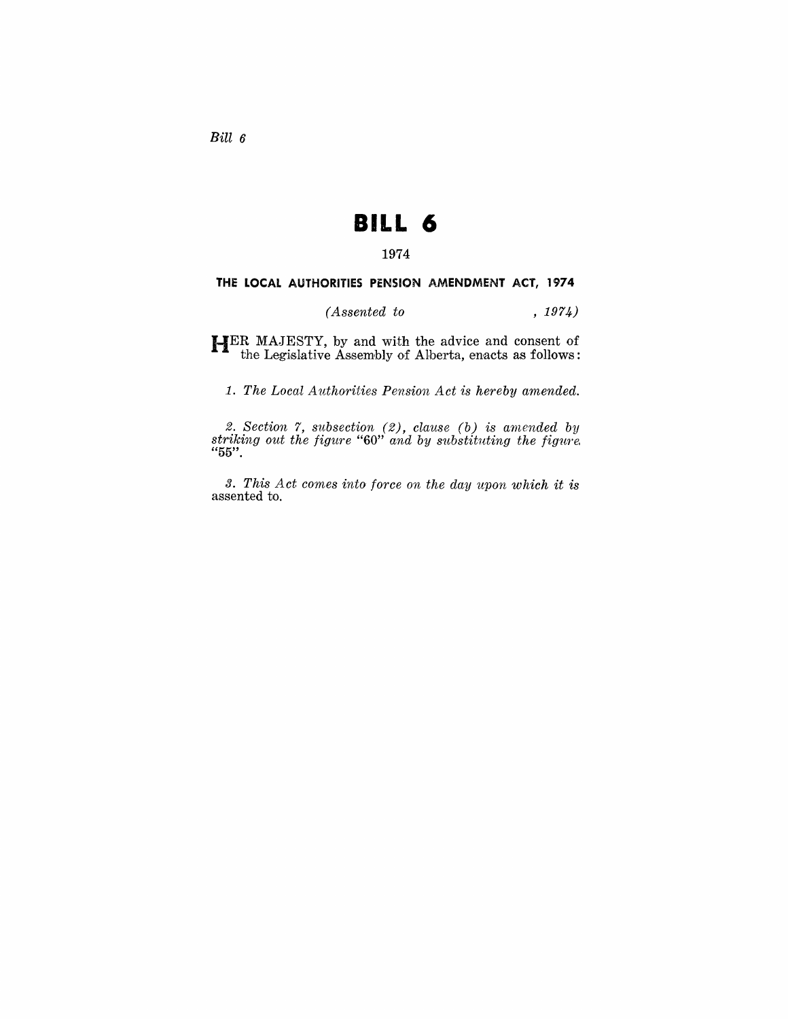Bill 6

## **BILL 6**

#### **1974**

#### THE LOCAL AUTHORITIES PENSION AMENDMENT ACT, 1974

### *(Assented to* , 1974)

**HER** MAJESTY, by and with the advice and consent of the Legislative Assembly of Alberta, enacts as follows:

1. The Local Authorities Pension Act is hereby amended.

2. Section 7, subsection (2), *clause* (b) is amended by *striking out the figure* "60" *and by substituting the figure.*  "55".

*3. This Act comes into force on the day upon which it is*  assented to.